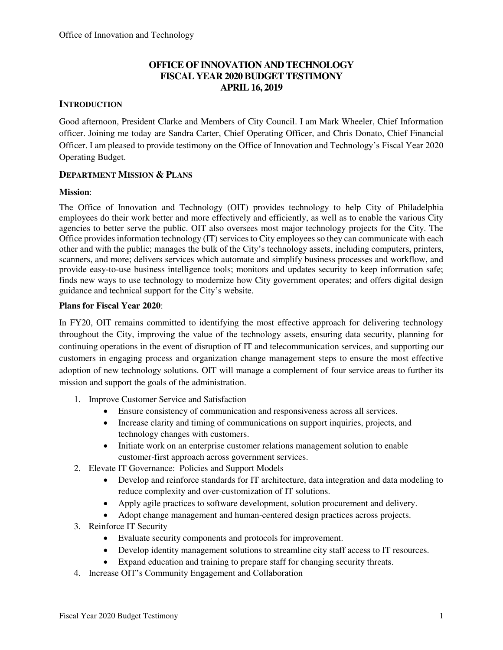## **OFFICE OF INNOVATION AND TECHNOLOGY FISCAL YEAR 2020 BUDGET TESTIMONY APRIL 16, 2019**

## **INTRODUCTION**

Good afternoon, President Clarke and Members of City Council. I am Mark Wheeler, Chief Information officer. Joining me today are Sandra Carter, Chief Operating Officer, and Chris Donato, Chief Financial Officer. I am pleased to provide testimony on the Office of Innovation and Technology's Fiscal Year 2020 Operating Budget.

## **DEPARTMENT MISSION & PLANS**

### **Mission**:

The Office of Innovation and Technology (OIT) provides technology to help City of Philadelphia employees do their work better and more effectively and efficiently, as well as to enable the various City agencies to better serve the public. OIT also oversees most major technology projects for the City. The Office provides information technology (IT) services to City employees so they can communicate with each other and with the public; manages the bulk of the City's technology assets, including computers, printers, scanners, and more; delivers services which automate and simplify business processes and workflow, and provide easy-to-use business intelligence tools; monitors and updates security to keep information safe; finds new ways to use technology to modernize how City government operates; and offers digital design guidance and technical support for the City's website.

### **Plans for Fiscal Year 2020**:

In FY20, OIT remains committed to identifying the most effective approach for delivering technology throughout the City, improving the value of the technology assets, ensuring data security, planning for continuing operations in the event of disruption of IT and telecommunication services, and supporting our customers in engaging process and organization change management steps to ensure the most effective adoption of new technology solutions. OIT will manage a complement of four service areas to further its mission and support the goals of the administration.

- 1. Improve Customer Service and Satisfaction
	- Ensure consistency of communication and responsiveness across all services.
	- Increase clarity and timing of communications on support inquiries, projects, and technology changes with customers.
	- Initiate work on an enterprise customer relations management solution to enable customer-first approach across government services.
- 2. Elevate IT Governance: Policies and Support Models
	- Develop and reinforce standards for IT architecture, data integration and data modeling to reduce complexity and over-customization of IT solutions.
	- Apply agile practices to software development, solution procurement and delivery.
	- Adopt change management and human-centered design practices across projects.
- 3. Reinforce IT Security
	- Evaluate security components and protocols for improvement.
	- Develop identity management solutions to streamline city staff access to IT resources.
	- Expand education and training to prepare staff for changing security threats.
- 4. Increase OIT's Community Engagement and Collaboration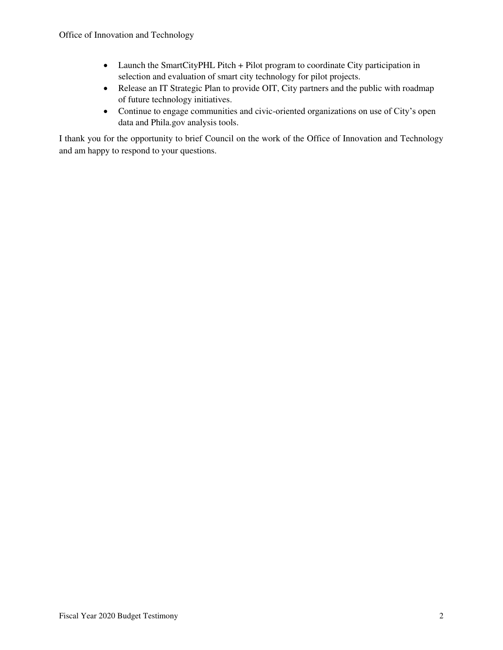- Launch the SmartCityPHL Pitch + Pilot program to coordinate City participation in selection and evaluation of smart city technology for pilot projects.
- Release an IT Strategic Plan to provide OIT, City partners and the public with roadmap of future technology initiatives.
- Continue to engage communities and civic-oriented organizations on use of City's open data and Phila.gov analysis tools.

I thank you for the opportunity to brief Council on the work of the Office of Innovation and Technology and am happy to respond to your questions.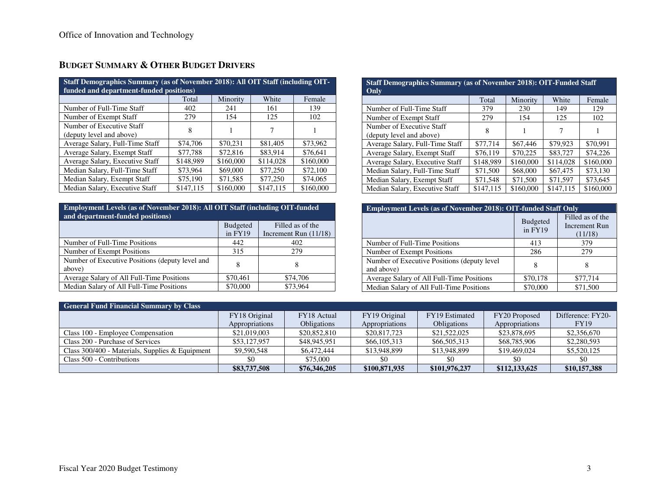# **BUDGET SUMMARY & OTHER BUDGET DRIVERS**

| Staff Demographics Summary (as of November 2018): All OIT Staff (including OIT-<br>funded and department-funded positions) |           |           |           |           |  |  |  |  |
|----------------------------------------------------------------------------------------------------------------------------|-----------|-----------|-----------|-----------|--|--|--|--|
|                                                                                                                            | Total     | Minority  | White     | Female    |  |  |  |  |
| Number of Full-Time Staff                                                                                                  | 402       | 241       | 161       | 139       |  |  |  |  |
| Number of Exempt Staff                                                                                                     | 279       | 154       | 125       | 102       |  |  |  |  |
| Number of Executive Staff<br>(deputy level and above)                                                                      | 8         |           | 7         |           |  |  |  |  |
| Average Salary, Full-Time Staff                                                                                            | \$74,706  | \$70.231  | \$81,405  | \$73,962  |  |  |  |  |
| Average Salary, Exempt Staff                                                                                               | \$77,788  | \$72,816  | \$83,914  | \$76,641  |  |  |  |  |
| Average Salary, Executive Staff                                                                                            | \$148.989 | \$160,000 | \$114,028 | \$160,000 |  |  |  |  |
| Median Salary, Full-Time Staff                                                                                             | \$73,964  | \$69,000  | \$77,250  | \$72,100  |  |  |  |  |
| Median Salary, Exempt Staff                                                                                                | \$75,190  | \$71,585  | \$77,250  | \$74,065  |  |  |  |  |
| Median Salary, Executive Staff                                                                                             | \$147,115 | \$160,000 | \$147,115 | \$160,000 |  |  |  |  |

| <b>Employment Levels (as of November 2018): All OIT Staff (including OIT-funded)</b><br>and department-funded positions) |                            |                                             |  |  |  |  |  |  |
|--------------------------------------------------------------------------------------------------------------------------|----------------------------|---------------------------------------------|--|--|--|--|--|--|
|                                                                                                                          | <b>Budgeted</b><br>in FY19 | Filled as of the<br>Increment Run $(11/18)$ |  |  |  |  |  |  |
| Number of Full-Time Positions                                                                                            | 442                        | 402                                         |  |  |  |  |  |  |
| Number of Exempt Positions                                                                                               | 315                        | 279                                         |  |  |  |  |  |  |
| Number of Executive Positions (deputy level and<br>above)                                                                | 8                          | 8                                           |  |  |  |  |  |  |
| Average Salary of All Full-Time Positions                                                                                | \$70,461                   | \$74,706                                    |  |  |  |  |  |  |
| Median Salary of All Full-Time Positions                                                                                 | \$70,000                   | \$73,964                                    |  |  |  |  |  |  |

| <b>Staff Demographics Summary (as of November 2018): OIT-Funded Staff</b><br>Only |           |           |           |           |  |  |  |  |  |
|-----------------------------------------------------------------------------------|-----------|-----------|-----------|-----------|--|--|--|--|--|
|                                                                                   | Total     | Minority  | White     | Female    |  |  |  |  |  |
| Number of Full-Time Staff                                                         | 379       | 230       | 149       | 129       |  |  |  |  |  |
| Number of Exempt Staff                                                            | 279       | 154       | 125       | 102       |  |  |  |  |  |
| Number of Executive Staff<br>(deputy level and above)                             | 8         |           |           |           |  |  |  |  |  |
| Average Salary, Full-Time Staff                                                   | \$77,714  | \$67,446  | \$79,923  | \$70.991  |  |  |  |  |  |
| Average Salary, Exempt Staff                                                      | \$76,119  | \$70,225  | \$83,727  | \$74,226  |  |  |  |  |  |
| Average Salary, Executive Staff                                                   | \$148,989 | \$160,000 | \$114,028 | \$160,000 |  |  |  |  |  |
| Median Salary, Full-Time Staff                                                    | \$71,500  | \$68,000  | \$67,475  | \$73,130  |  |  |  |  |  |
| Median Salary, Exempt Staff                                                       | \$71,548  | \$71,500  | \$71,597  | \$73,645  |  |  |  |  |  |
| Median Salary, Executive Staff                                                    | \$147,115 | \$160,000 | \$147,115 | \$160,000 |  |  |  |  |  |

| <b>Employment Levels (as of November 2018): OIT-funded Staff Only</b> |                              |                                              |  |  |  |  |  |  |
|-----------------------------------------------------------------------|------------------------------|----------------------------------------------|--|--|--|--|--|--|
|                                                                       | <b>Budgeted</b><br>$in$ FY19 | Filled as of the<br>Increment Run<br>(11/18) |  |  |  |  |  |  |
| Number of Full-Time Positions                                         | 413                          | 379                                          |  |  |  |  |  |  |
| Number of Exempt Positions                                            | 286                          | 279                                          |  |  |  |  |  |  |
| Number of Executive Positions (deputy level<br>and above)             | 8                            | 8                                            |  |  |  |  |  |  |
| Average Salary of All Full-Time Positions                             | \$70,178                     | \$77,714                                     |  |  |  |  |  |  |
| Median Salary of All Full-Time Positions                              | \$70,000                     | \$71,500                                     |  |  |  |  |  |  |

| <b>General Fund Financial Summary by Class</b>    |                |                    |                |                    |                |                   |  |  |  |
|---------------------------------------------------|----------------|--------------------|----------------|--------------------|----------------|-------------------|--|--|--|
|                                                   | FY18 Original  | FY18 Actual        | FY19 Original  | FY19 Estimated     | FY20 Proposed  | Difference: FY20- |  |  |  |
|                                                   | Appropriations | <b>Obligations</b> | Appropriations | <b>Obligations</b> | Appropriations | <b>FY19</b>       |  |  |  |
| Class 100 - Employee Compensation                 | \$21,019,003   | \$20,852,810       | \$20,817,723   | \$21,522,025       | \$23,878,695   | \$2,356,670       |  |  |  |
| Class 200 - Purchase of Services                  | \$53,127,957   | \$48,945,951       | \$66,105,313   | \$66,505,313       | \$68,785,906   | \$2,280,593       |  |  |  |
| Class $300/400$ - Materials, Supplies & Equipment | \$9,590,548    | \$6,472,444        | \$13,948,899   | \$13,948,899       | \$19,469,024   | \$5,520,125       |  |  |  |
| Class 500 - Contributions                         | \$0            | \$75,000           | \$0            | \$0                | \$0            | \$0               |  |  |  |
|                                                   | \$83,737,508   | \$76,346,205       | \$100,871,935  | \$101,976,237      | \$112,133,625  | \$10,157,388      |  |  |  |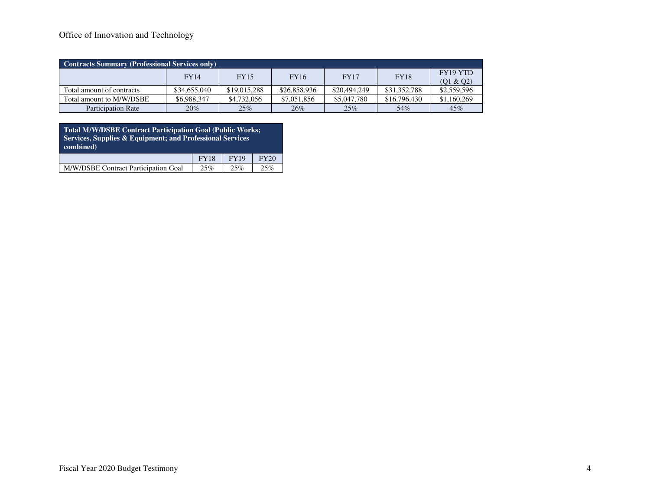## Office of Innovation and Technology

| <b>Contracts Summary (Professional Services only)</b> |              |              |              |              |              |                              |  |  |  |  |
|-------------------------------------------------------|--------------|--------------|--------------|--------------|--------------|------------------------------|--|--|--|--|
|                                                       | <b>FY14</b>  | <b>FY15</b>  | <b>FY16</b>  | <b>FY17</b>  | <b>FY18</b>  | <b>FY19 YTD</b><br>(Q1 & Q2) |  |  |  |  |
| Total amount of contracts                             | \$34,655,040 | \$19,015,288 | \$26,858,936 | \$20,494,249 | \$31,352,788 | \$2,559,596                  |  |  |  |  |
| Total amount to M/W/DSBE                              | \$6,988,347  | \$4,732,056  | \$7,051,856  | \$5,047,780  | \$16,796,430 | \$1,160,269                  |  |  |  |  |
| <b>Participation Rate</b>                             | 20%          | 25%          | 26%          | 25%          | 54%          | 45%                          |  |  |  |  |

**Total M/W/DSBE Contract Participation Goal (Public Works; Services, Supplies & Equipment; and Professional Services combined)**  FY18 FY19 FY20<br>25% 25% 25% M/W/DSBE Contract Participation Goal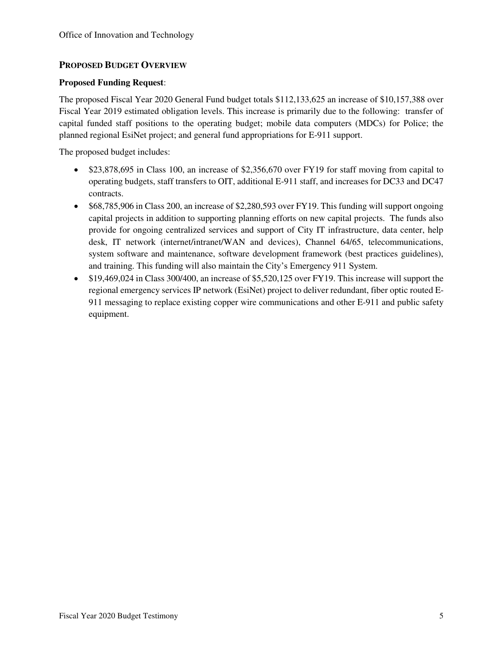## **PROPOSED BUDGET OVERVIEW**

### **Proposed Funding Request**:

The proposed Fiscal Year 2020 General Fund budget totals \$112,133,625 an increase of \$10,157,388 over Fiscal Year 2019 estimated obligation levels. This increase is primarily due to the following: transfer of capital funded staff positions to the operating budget; mobile data computers (MDCs) for Police; the planned regional EsiNet project; and general fund appropriations for E-911 support.

The proposed budget includes:

- \$23,878,695 in Class 100, an increase of \$2,356,670 over FY19 for staff moving from capital to operating budgets, staff transfers to OIT, additional E-911 staff, and increases for DC33 and DC47 contracts.
- \$68,785,906 in Class 200, an increase of \$2,280,593 over FY19. This funding will support ongoing capital projects in addition to supporting planning efforts on new capital projects. The funds also provide for ongoing centralized services and support of City IT infrastructure, data center, help desk, IT network (internet/intranet/WAN and devices), Channel 64/65, telecommunications, system software and maintenance, software development framework (best practices guidelines), and training. This funding will also maintain the City's Emergency 911 System.
- \$19,469,024 in Class 300/400, an increase of \$5,520,125 over FY19. This increase will support the regional emergency services IP network (EsiNet) project to deliver redundant, fiber optic routed E-911 messaging to replace existing copper wire communications and other E-911 and public safety equipment.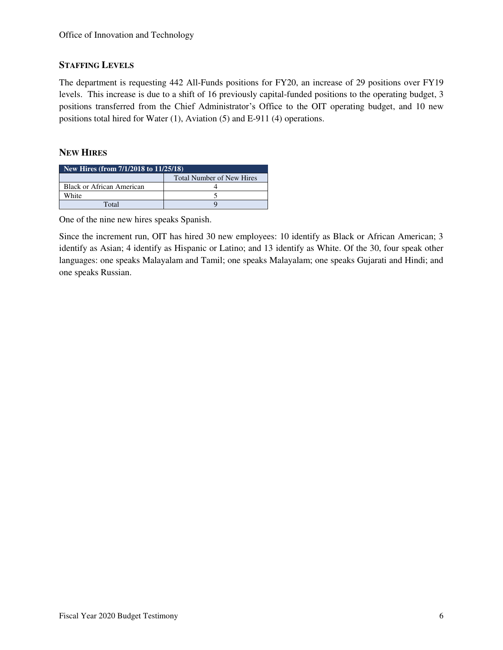### **STAFFING LEVELS**

The department is requesting 442 All-Funds positions for FY20, an increase of 29 positions over FY19 levels. This increase is due to a shift of 16 previously capital-funded positions to the operating budget, 3 positions transferred from the Chief Administrator's Office to the OIT operating budget, and 10 new positions total hired for Water (1), Aviation (5) and E-911 (4) operations.

### **NEW HIRES**

| New Hires (from 7/1/2018 to 11/25/18) |  |  |  |  |  |  |
|---------------------------------------|--|--|--|--|--|--|
| <b>Total Number of New Hires</b>      |  |  |  |  |  |  |
| Black or African American             |  |  |  |  |  |  |
| White                                 |  |  |  |  |  |  |
| $\rm Total$                           |  |  |  |  |  |  |

One of the nine new hires speaks Spanish.

Since the increment run, OIT has hired 30 new employees: 10 identify as Black or African American; 3 identify as Asian; 4 identify as Hispanic or Latino; and 13 identify as White. Of the 30, four speak other languages: one speaks Malayalam and Tamil; one speaks Malayalam; one speaks Gujarati and Hindi; and one speaks Russian.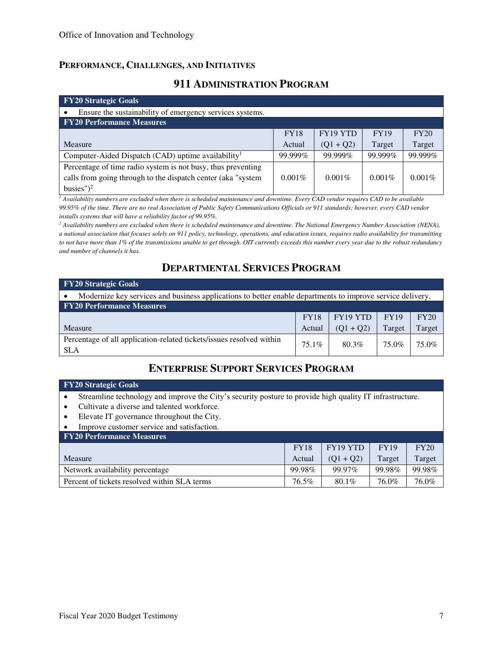## **PERFORMANCE, CHALLENGES, AND INITIATIVES**

## **911 ADMINISTRATION PROGRAM**

#### **FY20 Strategic Goals**

### • Ensure the sustainability of emergency services systems.

| Library the sustainability of effect gene y set vices systems. |             |             |             |         |  |  |  |  |  |
|----------------------------------------------------------------|-------------|-------------|-------------|---------|--|--|--|--|--|
| <b>FY20 Performance Measures</b>                               |             |             |             |         |  |  |  |  |  |
|                                                                | <b>FY18</b> | FY19 YTD    | <b>FY19</b> | FY20    |  |  |  |  |  |
| Measure                                                        | Actual      | $(Q1 + Q2)$ | Target      | Target  |  |  |  |  |  |
| Computer-Aided Dispatch (CAD) uptime availability <sup>1</sup> | 99.999%     | 99.999%     | 99.999%     | 99.999% |  |  |  |  |  |
| Percentage of time radio system is not busy, thus preventing   |             |             |             |         |  |  |  |  |  |
| calls from going through to the dispatch center (aka "system") | 0.001%      | $0.001\%$   | $0.001\%$   | 0.001%  |  |  |  |  |  |
| busies" $)^2$                                                  |             |             |             |         |  |  |  |  |  |

*1 Availability numbers are excluded when there is scheduled maintenance and downtime. Every CAD vendor requires CAD to be available 99.95% of the time. There are no real Association of Public Safety Communications Officials or 911 standards; however, every CAD vendor installs systems that will have a reliability factor of 99.95%.* 

*2 Availability numbers are excluded when there is scheduled maintenance and downtime. The National Emergency Number Association (NENA), a national association that focuses solely on 911 policy, technology, operations, and education issues, requires radio availability for transmitting to not have more than 1% of the transmissions unable to get through. OIT currently exceeds this number every year due to the robust redundancy and number of channels it has.*

## **DEPARTMENTAL SERVICES PROGRAM**

| <b>FY20 Strategic Goals</b>                                                                                |             |             |             |             |  |  |  |  |  |
|------------------------------------------------------------------------------------------------------------|-------------|-------------|-------------|-------------|--|--|--|--|--|
| Modernize key services and business applications to better enable departments to improve service delivery. |             |             |             |             |  |  |  |  |  |
| <b>FY20 Performance Measures</b>                                                                           |             |             |             |             |  |  |  |  |  |
|                                                                                                            | <b>FY18</b> | FY19 YTD    | <b>FY19</b> | <b>FY20</b> |  |  |  |  |  |
| Measure                                                                                                    | Actual      | $(01 + 02)$ | Target      | Target      |  |  |  |  |  |
| Percentage of all application-related tickets/issues resolved within<br><b>SLA</b>                         | $75.1\%$    | 80.3%       | 75.0%       | 75.0%       |  |  |  |  |  |

# **ENTERPRISE SUPPORT SERVICES PROGRAM**

#### **FY20 Strategic Goals**

- Streamline technology and improve the City's security posture to provide high quality IT infrastructure.
- Cultivate a diverse and talented workforce.
- Elevate IT governance throughout the City.
- Improve customer service and satisfaction.

| <b>FY20 Performance Measures</b>             |             |             |             |        |  |  |  |  |  |
|----------------------------------------------|-------------|-------------|-------------|--------|--|--|--|--|--|
|                                              | <b>FY18</b> | FY19 YTD    | <b>FY19</b> | FY20   |  |  |  |  |  |
| Measure                                      | Actual      | $(01 + 02)$ | Target      | Target |  |  |  |  |  |
| Network availability percentage              | 99.98%      | 99.97%      | 99.98%      | 99.98% |  |  |  |  |  |
| Percent of tickets resolved within SLA terms | 76.5%       | $80.1\%$    | 76.0%       | 76.0%  |  |  |  |  |  |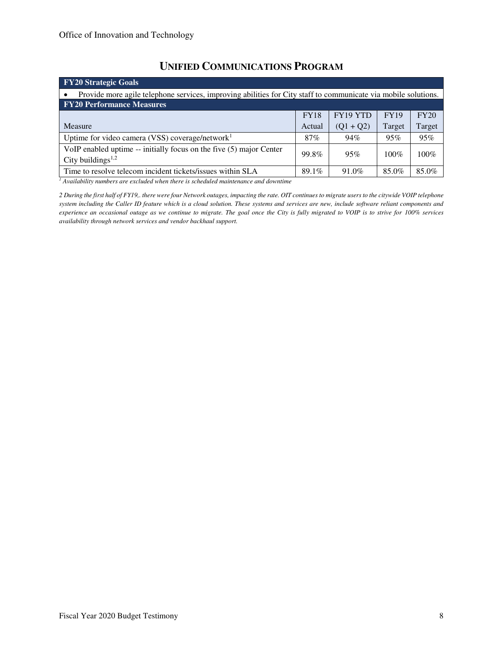# **UNIFIED COMMUNICATIONS PROGRAM**

| <b>FY20 Strategic Goals</b>                                                                                    |        |             |         |         |  |  |  |  |  |
|----------------------------------------------------------------------------------------------------------------|--------|-------------|---------|---------|--|--|--|--|--|
| Provide more agile telephone services, improving abilities for City staff to communicate via mobile solutions. |        |             |         |         |  |  |  |  |  |
| <b>FY20 Performance Measures</b>                                                                               |        |             |         |         |  |  |  |  |  |
| <b>FY19 YTD</b><br><b>FY19</b><br>FY20<br><b>FY18</b>                                                          |        |             |         |         |  |  |  |  |  |
| Measure                                                                                                        | Actual | $(Q1 + Q2)$ | Target  | Target  |  |  |  |  |  |
| Uptime for video camera (VSS) coverage/network $1$                                                             | 87%    | 94%         | 95%     | 95%     |  |  |  |  |  |
| VoIP enabled uptime -- initially focus on the five (5) major Center<br>City buildings <sup>1,2</sup>           | 99.8%  | 95%         | $100\%$ | $100\%$ |  |  |  |  |  |
| Time to resolve telecom incident tickets/issues within SLA                                                     | 89.1%  | 91.0%       | 85.0%   | 85.0%   |  |  |  |  |  |

<sup>1</sup> Availability numbers are excluded when there is scheduled maintenance and downtime

*2 During the first half of FY19,. there were four Network outages, impacting the rate. OIT continues to migrate users to the citywide VOIP telephone system including the Caller ID feature which is a cloud solution. These systems and services are new, include software reliant components and experience an occasional outage as we continue to migrate. The goal once the City is fully migrated to VOIP is to strive for 100% services availability through network services and vendor backhaul support.*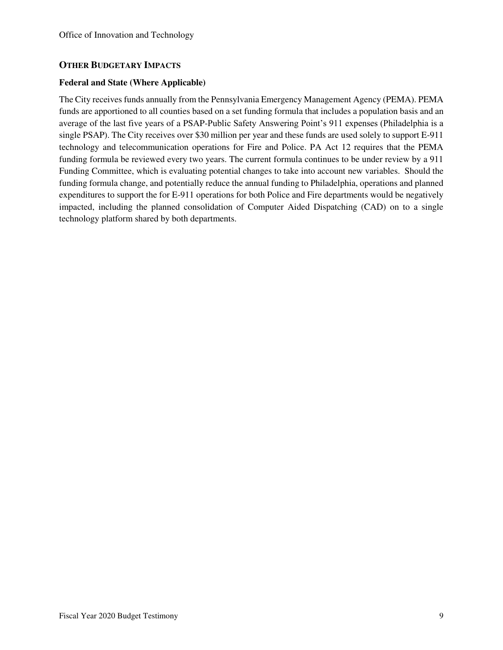### **OTHER BUDGETARY IMPACTS**

### **Federal and State (Where Applicable)**

The City receives funds annually from the Pennsylvania Emergency Management Agency (PEMA). PEMA funds are apportioned to all counties based on a set funding formula that includes a population basis and an average of the last five years of a PSAP-Public Safety Answering Point's 911 expenses (Philadelphia is a single PSAP). The City receives over \$30 million per year and these funds are used solely to support E-911 technology and telecommunication operations for Fire and Police. PA Act 12 requires that the PEMA funding formula be reviewed every two years. The current formula continues to be under review by a 911 Funding Committee, which is evaluating potential changes to take into account new variables. Should the funding formula change, and potentially reduce the annual funding to Philadelphia, operations and planned expenditures to support the for E-911 operations for both Police and Fire departments would be negatively impacted, including the planned consolidation of Computer Aided Dispatching (CAD) on to a single technology platform shared by both departments.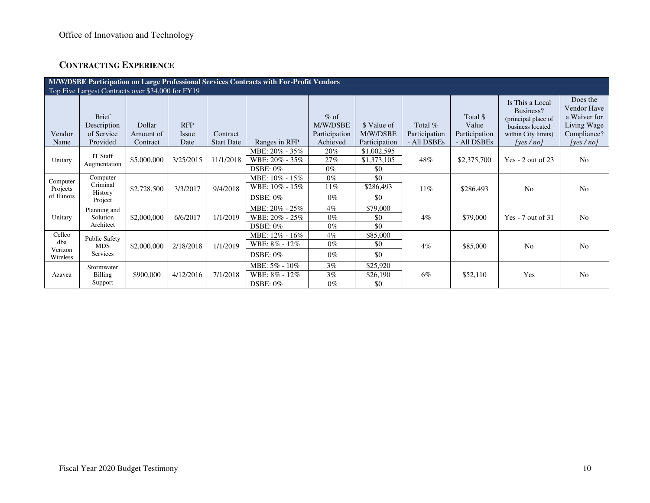## **CONTRACTING EXPERIENCE**

| M/W/DSBE Participation on Large Professional Services Contracts with For-Profit Vendors |                                                       |                                 |                                    |                               |                                                 |                                                 |                                          |                                           |                                                   |                                                                                                            |                                                                                       |
|-----------------------------------------------------------------------------------------|-------------------------------------------------------|---------------------------------|------------------------------------|-------------------------------|-------------------------------------------------|-------------------------------------------------|------------------------------------------|-------------------------------------------|---------------------------------------------------|------------------------------------------------------------------------------------------------------------|---------------------------------------------------------------------------------------|
|                                                                                         | Top Five Largest Contracts over \$34,000 for FY19     |                                 |                                    |                               |                                                 |                                                 |                                          |                                           |                                                   |                                                                                                            |                                                                                       |
| Vendor<br>Name                                                                          | <b>Brief</b><br>Description<br>of Service<br>Provided | Dollar<br>Amount of<br>Contract | <b>RFP</b><br><i>Issue</i><br>Date | Contract<br><b>Start Date</b> | Ranges in RFP                                   | $%$ of<br>M/W/DSBE<br>Participation<br>Achieved | \$ Value of<br>M/W/DSBE<br>Participation | Total $%$<br>Participation<br>- All DSBEs | Total \$<br>Value<br>Participation<br>- All DSBEs | Is This a Local<br>Business?<br>(principal place of<br>business located<br>within City limits)<br>[ves/no] | Does the<br>Vendor Have<br>a Waiver for<br>Living Wage<br>Compliance?<br>[yes $/no$ ] |
| Unitary                                                                                 | <b>IT Staff</b><br>Augmentation                       | \$5,000,000                     | 3/25/2015                          | 11/1/2018                     | MBE: 20% - 35%<br>WBE: 20% - 35%<br>$DSBE: 0\%$ | 20%<br>27%<br>$0\%$                             | \$1,002,595<br>\$1,373,105<br>\$0        | 48%                                       | \$2,375,700                                       | $Yes - 2 out of 23$                                                                                        | N <sub>o</sub>                                                                        |
| Computer<br>Projects<br>of Illinois                                                     | Computer<br>Criminal<br>History<br>Project            | \$2,728,500                     | 3/3/2017                           | 9/4/2018                      | MBE: 10% - 15%<br>WBE: 10% - 15%<br>$DSBE: 0\%$ | $0\%$<br>11%<br>$0\%$                           | \$0<br>\$286,493<br>\$0                  | $11\%$                                    | \$286,493                                         | N <sub>0</sub>                                                                                             | N <sub>0</sub>                                                                        |
| Unitary                                                                                 | Planning and<br>Solution<br>Architect                 | \$2,000,000                     | 6/6/2017                           | 1/1/2019                      | MBE: 20% - 25%<br>WBE: 20% - 25%<br>$DSBE: 0\%$ | $4\%$<br>$0\%$<br>$0\%$                         | \$79,000<br>\$0<br>\$0                   | $4\%$                                     | \$79,000                                          | Yes $-7$ out of 31                                                                                         | N <sub>0</sub>                                                                        |
| Cellco<br>dba<br>Verizon<br>Wireless                                                    | <b>Public Safety</b><br><b>MDS</b><br>Services        | \$2,000,000                     | 2/18/2018                          | 1/1/2019                      | MBE: 12% - 16%<br>WBE: 8% - 12%<br>$DSBE: 0\%$  | $4\%$<br>$0\%$<br>$0\%$                         | \$85,000<br>\$0<br>\$0                   | $4\%$                                     | \$85,000                                          | N <sub>0</sub>                                                                                             | N <sub>0</sub>                                                                        |
| Azavea                                                                                  | Stormwater<br><b>Billing</b><br>Support               | \$900,000                       | 4/12/2016                          | 7/1/2018                      | MBE: 5% - 10%<br>WBE: 8% - 12%<br>$DSBE: 0\%$   | 3%<br>3%<br>$0\%$                               | \$25,920<br>\$26,190<br>\$0              | $6\%$                                     | \$52,110                                          | Yes                                                                                                        | N <sub>0</sub>                                                                        |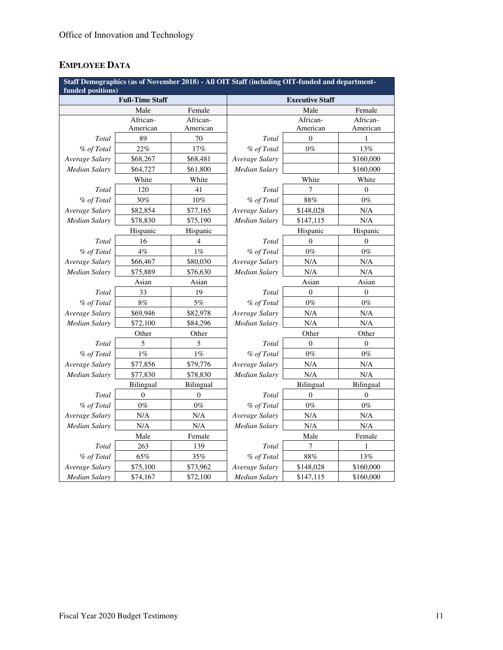## **EMPLOYEE DATA**

| Staff Demographics (as of November 2018) - All OIT Staff (including OIT-funded and department-<br>funded positions) |                  |                |                        |                |                  |  |  |  |
|---------------------------------------------------------------------------------------------------------------------|------------------|----------------|------------------------|----------------|------------------|--|--|--|
| <b>Full-Time Staff</b>                                                                                              |                  |                | <b>Executive Staff</b> |                |                  |  |  |  |
|                                                                                                                     | Male             | Female         |                        | Male           | Female           |  |  |  |
|                                                                                                                     | African-         | African-       |                        | African-       | African-         |  |  |  |
|                                                                                                                     | American         | American       |                        | American       | American         |  |  |  |
| Total                                                                                                               | 89               | 70             | Total                  | $\theta$       | 1                |  |  |  |
| % of Total                                                                                                          | 22%              | 17%            | % of Total             | $0\%$          | 13%              |  |  |  |
| Average Salary                                                                                                      | \$68,267         | \$68,481       | Average Salary         |                | \$160,000        |  |  |  |
| Median Salary                                                                                                       | \$64,727         | \$61,800       | Median Salary          |                | \$160,000        |  |  |  |
|                                                                                                                     | White            | White          |                        | White          | White            |  |  |  |
| Total                                                                                                               | 120              | 41             | Total                  | 7              | $\theta$         |  |  |  |
| % of Total                                                                                                          | 30%              | $10\%$         | % of Total             | 88%            | $0\%$            |  |  |  |
| Average Salary                                                                                                      | \$82,854         | \$77,165       | Average Salary         | \$148,028      | N/A              |  |  |  |
| Median Salary                                                                                                       | \$78,830         | \$75,190       | <b>Median Salary</b>   | \$147,115      | N/A              |  |  |  |
|                                                                                                                     | Hispanic         | Hispanic       |                        | Hispanic       | Hispanic         |  |  |  |
| Total                                                                                                               | 16               | 4              | Total                  | $\overline{0}$ | $\mathbf{0}$     |  |  |  |
| % of Total                                                                                                          | 4%               | $1\%$          | % of Total             | $0\%$          | $0\%$            |  |  |  |
| Average Salary                                                                                                      | \$66,467         | \$80,030       | Average Salary         | N/A            | N/A              |  |  |  |
| Median Salary                                                                                                       | \$75,889         | \$76,630       | Median Salary          | N/A            | N/A              |  |  |  |
|                                                                                                                     | Asian            | Asian          |                        | Asian          | Asian            |  |  |  |
| Total                                                                                                               | 33               | 19             | Total                  | $\mathbf{0}$   | $\boldsymbol{0}$ |  |  |  |
| % of Total                                                                                                          | 8%               | $5\%$          | % of Total             | $0\%$          | $0\%$            |  |  |  |
| Average Salary                                                                                                      | \$69,946         | \$82,978       | Average Salary         | N/A            | N/A              |  |  |  |
| <b>Median Salary</b>                                                                                                | \$72,100         | \$84,296       | Median Salary          | N/A            | N/A              |  |  |  |
| Other<br>Other                                                                                                      |                  | Other<br>Other |                        |                |                  |  |  |  |
| Total                                                                                                               | 5                | 5              | Total                  | $\theta$       | $\boldsymbol{0}$ |  |  |  |
| % of Total                                                                                                          | $1\%$            | $1\%$          | % of Total             | $0\%$          | $0\%$            |  |  |  |
| Average Salary                                                                                                      | \$77,856         | \$79,776       | Average Salary         | $\rm N/A$      | N/A              |  |  |  |
| Median Salary                                                                                                       | \$77,830         | \$78,830       | Median Salary          | N/A            | N/A              |  |  |  |
|                                                                                                                     | <b>Bilingual</b> | Bilingual      |                        | Bilingual      | Bilingual        |  |  |  |
| Total                                                                                                               | $\theta$         | $\mathbf{0}$   | Total                  | $\mathbf{0}$   | $\theta$         |  |  |  |
| % of Total                                                                                                          | $0\%$            | $0\%$          | % of Total             | $0\%$          | $0\%$            |  |  |  |
| Average Salary                                                                                                      | N/A              | N/A            | Average Salary         | N/A            | N/A              |  |  |  |
| Median Salary                                                                                                       | N/A              | N/A            | Median Salary          | N/A            | N/A              |  |  |  |
|                                                                                                                     | Male             | Female         |                        | Male           | Female           |  |  |  |
| Total                                                                                                               | 263              | 139            | Total                  | 7              | 1                |  |  |  |
| % of Total                                                                                                          | 65%              | 35%            | % of Total             | 88%            | 13%              |  |  |  |
| Average Salary                                                                                                      | \$75,100         | \$73,962       | Average Salary         | \$148,028      | \$160,000        |  |  |  |
| Median Salarv                                                                                                       | \$74,167         | \$72,100       | Median Salary          | \$147,115      | \$160,000        |  |  |  |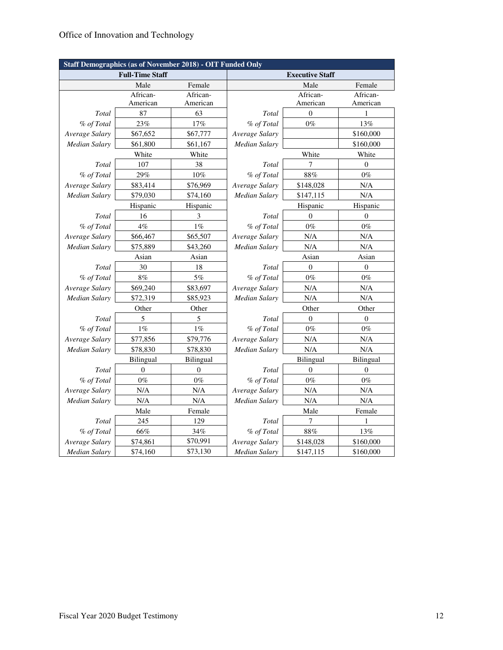## Office of Innovation and Technology

| <b>Staff Demographics (as of November 2018) - OIT Funded Only</b> |                        |                  |                        |                  |                  |  |  |  |
|-------------------------------------------------------------------|------------------------|------------------|------------------------|------------------|------------------|--|--|--|
|                                                                   | <b>Full-Time Staff</b> |                  | <b>Executive Staff</b> |                  |                  |  |  |  |
|                                                                   | Male                   | Female           |                        | Male             | Female           |  |  |  |
|                                                                   | African-               | African-         |                        | African-         | African-         |  |  |  |
|                                                                   | American               | American         |                        | American         | American         |  |  |  |
| Total                                                             | 87                     | 63               | Total                  | $\theta$         | 1                |  |  |  |
| % of Total                                                        | 23%                    | 17%              | % of Total             | $0\%$            | 13%              |  |  |  |
| Average Salary                                                    | \$67,652               | \$67,777         | Average Salary         |                  | \$160,000        |  |  |  |
| <b>Median Salary</b>                                              | \$61,800               | \$61,167         | Median Salary          |                  | \$160,000        |  |  |  |
|                                                                   | White                  | White            |                        | White            | White            |  |  |  |
| Total                                                             | 107                    | 38               | Total                  | 7                | $\mathbf{0}$     |  |  |  |
| % of Total                                                        | 29%                    | $10\%$           | % of Total             | $88\%$           | $0\%$            |  |  |  |
| Average Salary                                                    | \$83,414               | \$76,969         | Average Salary         | \$148,028        | N/A              |  |  |  |
| <b>Median Salary</b>                                              | \$79,030               | \$74,160         | <b>Median Salary</b>   | \$147,115        | N/A              |  |  |  |
|                                                                   | Hispanic               | Hispanic         | Hispanic<br>Hispanic   |                  |                  |  |  |  |
| Total                                                             | 16                     | 3                | Total                  | $\theta$         | $\boldsymbol{0}$ |  |  |  |
| % of Total                                                        | 4%                     | $1\%$            | % of Total             | $0\%$            | $0\%$            |  |  |  |
| Average Salary                                                    | \$66,467               | \$65,507         | Average Salary         | N/A              | N/A              |  |  |  |
| Median Salary                                                     | \$75,889               | \$43,260         | Median Salary          | N/A              | N/A              |  |  |  |
|                                                                   | Asian                  | Asian            |                        | Asian            | Asian            |  |  |  |
| Total                                                             | 30                     | $18\,$           | Total                  | $\boldsymbol{0}$ | $\boldsymbol{0}$ |  |  |  |
| % of Total                                                        | 8%                     | 5%               | % of Total             | $0\%$            | $0\%$            |  |  |  |
| Average Salary                                                    | \$69,240               | \$83,697         | Average Salary         | N/A              | N/A              |  |  |  |
| Median Salary                                                     | \$72,319               | \$85,923         | Median Salary          | N/A              | N/A              |  |  |  |
|                                                                   | Other                  | Other            |                        | Other            | Other            |  |  |  |
| Total                                                             | 5                      | 5                | Total                  | $\theta$         | $\theta$         |  |  |  |
| % of Total                                                        | $1\%$                  | $1\%$            | % of Total             | $0\%$            | $0\%$            |  |  |  |
| Average Salary                                                    | \$77,856               | \$79,776         | Average Salary         | N/A              | N/A              |  |  |  |
| Median Salary                                                     | \$78,830               | \$78,830         | Median Salary          | N/A              | N/A              |  |  |  |
|                                                                   | Bilingual              | Bilingual        |                        | <b>Bilingual</b> | <b>Bilingual</b> |  |  |  |
| Total                                                             | $\overline{0}$         | $\boldsymbol{0}$ | Total                  | $\theta$         | $\boldsymbol{0}$ |  |  |  |
| % of Total                                                        | $0\%$                  | $0\%$            | % of Total             | $0\%$            | $0\%$            |  |  |  |
| Average Salary                                                    | N/A                    | N/A              | Average Salary         | N/A              | N/A              |  |  |  |
| Median Salary                                                     | N/A                    | N/A              | Median Salary          | N/A              | N/A              |  |  |  |
|                                                                   | Male                   | Female           |                        | Male             | Female           |  |  |  |
| Total                                                             | 245                    | 129              | Total                  | 7                | 1                |  |  |  |
| % of Total                                                        | 66%                    | 34%              | % of Total             | $88\%$           | 13%              |  |  |  |
| Average Salary                                                    | \$74,861               | \$70,991         | Average Salary         | \$148,028        | \$160,000        |  |  |  |
| Median Salary                                                     | \$74,160               | \$73,130         | Median Salary          | \$147,115        | \$160,000        |  |  |  |